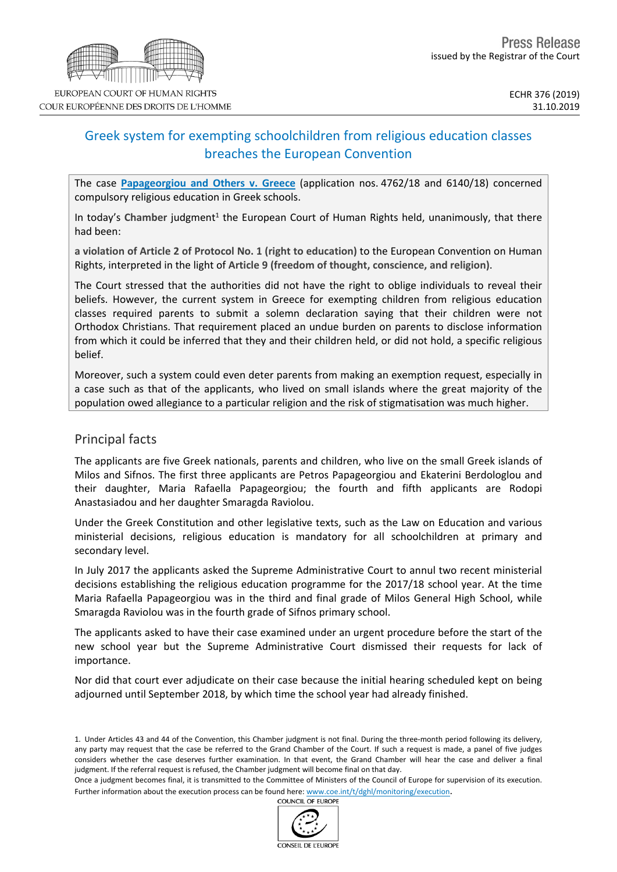

# Greek system for exempting schoolchildren from religious education classes breaches the European Convention

The case **[Papageorgiou](http://hudoc.echr.coe.int/fre?i=001-197254) and Others v. Greece** (application nos. 4762/18 and 6140/18) concerned compulsory religious education in Greek schools.

In today's Chamber judgment<sup>1</sup> the European Court of Human Rights held, unanimously, that there had been:

**a violation of Article 2 of Protocol No. 1 (right to education)** to the European Convention on Human Rights, interpreted in the light of **Article 9 (freedom of thought, conscience, and religion)**.

The Court stressed that the authorities did not have the right to oblige individuals to reveal their beliefs. However, the current system in Greece for exempting children from religious education classes required parents to submit a solemn declaration saying that their children were not Orthodox Christians. That requirement placed an undue burden on parents to disclose information from which it could be inferred that they and their children held, or did not hold, a specific religious belief.

Moreover, such a system could even deter parents from making an exemption request, especially in a case such as that of the applicants, who lived on small islands where the great majority of the population owed allegiance to a particular religion and the risk of stigmatisation was much higher.

### Principal facts

The applicants are five Greek nationals, parents and children, who live on the small Greek islands of Milos and Sifnos. The first three applicants are Petros Papageorgiou and Ekaterini Berdologlou and their daughter, Maria Rafaella Papageorgiou; the fourth and fifth applicants are Rodopi Anastasiadou and her daughter Smaragda Raviolou.

Under the Greek Constitution and other legislative texts, such as the Law on Education and various ministerial decisions, religious education is mandatory for all schoolchildren at primary and secondary level.

In July 2017 the applicants asked the Supreme Administrative Court to annul two recent ministerial decisions establishing the religious education programme for the 2017/18 school year. At the time Maria Rafaella Papageorgiou was in the third and final grade of Milos General High School, while Smaragda Raviolou was in the fourth grade of Sifnos primary school.

The applicants asked to have their case examined under an urgent procedure before the start of the new school year but the Supreme Administrative Court dismissed their requests for lack of importance.

Nor did that court ever adjudicate on their case because the initial hearing scheduled kept on being adjourned until September 2018, by which time the school year had already finished.



<sup>1.</sup> Under Articles 43 and 44 of the Convention, this Chamber judgment is not final. During the three-month period following its delivery, any party may request that the case be referred to the Grand Chamber of the Court. If such a request is made, a panel of five judges considers whether the case deserves further examination. In that event, the Grand Chamber will hear the case and deliver a final judgment. If the referral request is refused, the Chamber judgment will become final on that day.

Once a judgment becomes final, it is transmitted to the Committee of Ministers of the Council of Europe for supervision of its execution. Further information about the execution process can be found here: [www.coe.int/t/dghl/monitoring/execution](http://www.coe.int/t/dghl/monitoring/execution).<br>COUNCIL OF FUROPE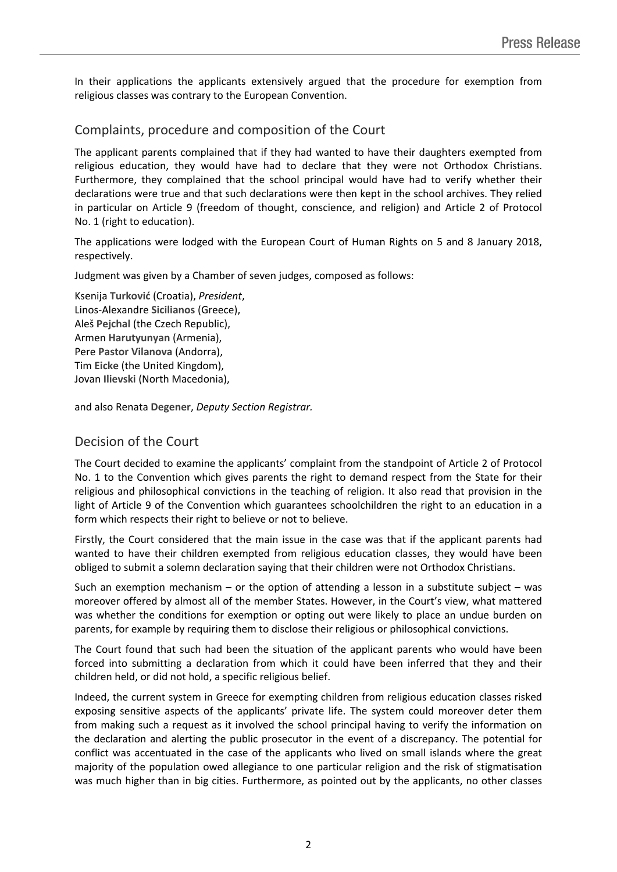In their applications the applicants extensively argued that the procedure for exemption from religious classes was contrary to the European Convention.

## Complaints, procedure and composition of the Court

The applicant parents complained that if they had wanted to have their daughters exempted from religious education, they would have had to declare that they were not Orthodox Christians. Furthermore, they complained that the school principal would have had to verify whether their declarations were true and that such declarations were then kept in the school archives. They relied in particular on Article 9 (freedom of thought, conscience, and religion) and Article 2 of Protocol No. 1 (right to education).

The applications were lodged with the European Court of Human Rights on 5 and 8 January 2018, respectively.

Judgment was given by a Chamber of seven judges, composed as follows:

Ksenija **Turković** (Croatia), *President*, Linos-Alexandre **Sicilianos** (Greece), Aleš **Pejchal** (the Czech Republic), Armen **Harutyunyan** (Armenia), Pere **Pastor Vilanova** (Andorra), Tim **Eicke** (the United Kingdom), Jovan **Ilievski** (North Macedonia),

and also Renata **Degener**, *Deputy Section Registrar.*

### Decision of the Court

The Court decided to examine the applicants' complaint from the standpoint of Article 2 of Protocol No. 1 to the Convention which gives parents the right to demand respect from the State for their religious and philosophical convictions in the teaching of religion. It also read that provision in the light of Article 9 of the Convention which guarantees schoolchildren the right to an education in a form which respects their right to believe or not to believe.

Firstly, the Court considered that the main issue in the case was that if the applicant parents had wanted to have their children exempted from religious education classes, they would have been obliged to submit a solemn declaration saying that their children were not Orthodox Christians.

Such an exemption mechanism  $-$  or the option of attending a lesson in a substitute subject  $-$  was moreover offered by almost all of the member States. However, in the Court's view, what mattered was whether the conditions for exemption or opting out were likely to place an undue burden on parents, for example by requiring them to disclose their religious or philosophical convictions.

The Court found that such had been the situation of the applicant parents who would have been forced into submitting a declaration from which it could have been inferred that they and their children held, or did not hold, a specific religious belief.

Indeed, the current system in Greece for exempting children from religious education classes risked exposing sensitive aspects of the applicants' private life. The system could moreover deter them from making such a request as it involved the school principal having to verify the information on the declaration and alerting the public prosecutor in the event of a discrepancy. The potential for conflict was accentuated in the case of the applicants who lived on small islands where the great majority of the population owed allegiance to one particular religion and the risk of stigmatisation was much higher than in big cities. Furthermore, as pointed out by the applicants, no other classes